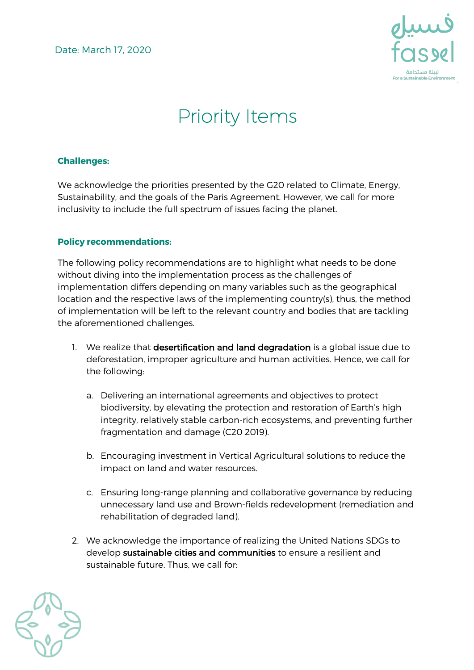

## Priority Items

## **Challenges:**

We acknowledge the priorities presented by the G20 related to Climate, Energy, Sustainability, and the goals of the Paris Agreement. However, we call for more inclusivity to include the full spectrum of issues facing the planet.

## **Policy recommendations:**

The following policy recommendations are to highlight what needs to be done without diving into the implementation process as the challenges of implementation differs depending on many variables such as the geographical location and the respective laws of the implementing country(s), thus, the method of implementation will be left to the relevant country and bodies that are tackling the aforementioned challenges.

- 1. We realize that desertification and land degradation is a global issue due to deforestation, improper agriculture and human activities. Hence, we call for the following:
	- a. Delivering an international agreements and objectives to protect biodiversity, by elevating the protection and restoration of Earth's high integrity, relatively stable carbon-rich ecosystems, and preventing further fragmentation and damage (C20 2019).
	- b. Encouraging investment in Vertical Agricultural solutions to reduce the impact on land and water resources.
	- c. Ensuring long-range planning and collaborative governance by reducing unnecessary land use and Brown-fields redevelopment (remediation and rehabilitation of degraded land).
- 2. We acknowledge the importance of realizing the United Nations SDGs to develop sustainable cities and communities to ensure a resilient and sustainable future. Thus, we call for:

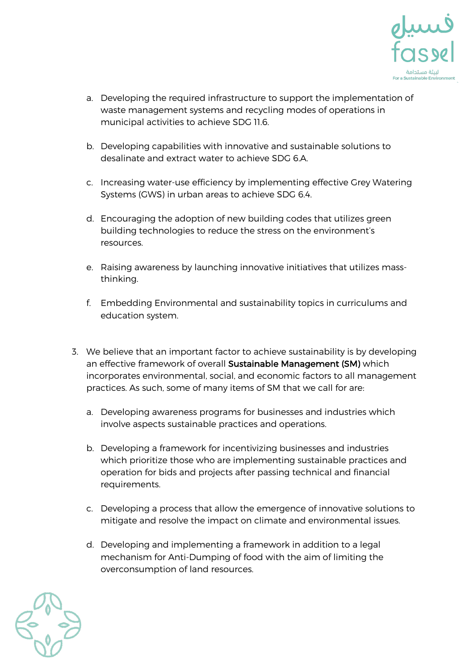

- a. Developing the required infrastructure to support the implementation of waste management systems and recycling modes of operations in municipal activities to achieve SDG 11.6.
- b. Developing capabilities with innovative and sustainable solutions to desalinate and extract water to achieve SDG 6.A.
- c. Increasing water-use efficiency by implementing effective Grey Watering Systems (GWS) in urban areas to achieve SDG 6.4.
- d. Encouraging the adoption of new building codes that utilizes green building technologies to reduce the stress on the environment's resources.
- e. Raising awareness by launching innovative initiatives that utilizes massthinking.
- f. Embedding Environmental and sustainability topics in curriculums and education system.
- 3. We believe that an important factor to achieve sustainability is by developing an effective framework of overall Sustainable Management (SM) which incorporates environmental, social, and economic factors to all management practices. As such, some of many items of SM that we call for are:
	- a. Developing awareness programs for businesses and industries which involve aspects sustainable practices and operations.
	- b. Developing a framework for incentivizing businesses and industries which prioritize those who are implementing sustainable practices and operation for bids and projects after passing technical and financial requirements.
	- c. Developing a process that allow the emergence of innovative solutions to mitigate and resolve the impact on climate and environmental issues.
	- d. Developing and implementing a framework in addition to a legal mechanism for Anti-Dumping of food with the aim of limiting the overconsumption of land resources.

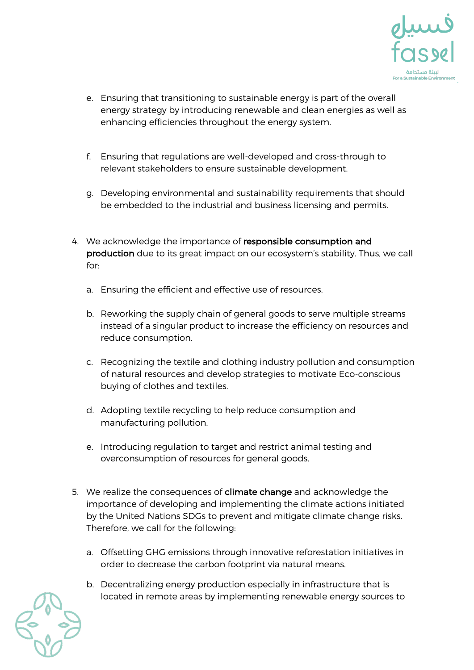

- e. Ensuring that transitioning to sustainable energy is part of the overall energy strategy by introducing renewable and clean energies as well as enhancing efficiencies throughout the energy system.
- f. Ensuring that regulations are well-developed and cross-through to relevant stakeholders to ensure sustainable development.
- g. Developing environmental and sustainability requirements that should be embedded to the industrial and business licensing and permits.
- 4. We acknowledge the importance of responsible consumption and production due to its great impact on our ecosystem's stability. Thus, we call for:
	- a. Ensuring the efficient and effective use of resources.
	- b. Reworking the supply chain of general goods to serve multiple streams instead of a singular product to increase the efficiency on resources and reduce consumption.
	- c. Recognizing the textile and clothing industry pollution and consumption of natural resources and develop strategies to motivate Eco-conscious buying of clothes and textiles.
	- d. Adopting textile recycling to help reduce consumption and manufacturing pollution.
	- e. Introducing regulation to target and restrict animal testing and overconsumption of resources for general goods.
- 5. We realize the consequences of climate change and acknowledge the importance of developing and implementing the climate actions initiated by the United Nations SDGs to prevent and mitigate climate change risks. Therefore, we call for the following:
	- a. Offsetting GHG emissions through innovative reforestation initiatives in order to decrease the carbon footprint via natural means.
	- b. Decentralizing energy production especially in infrastructure that is located in remote areas by implementing renewable energy sources to